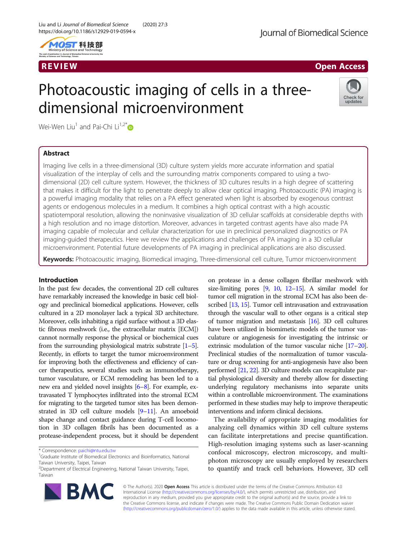





# Photoacoustic imaging of cells in a threedimensional microenvironment



Wei-Wen Liu<sup>1</sup> and Pai-Chi Li<sup>1,2[\\*](http://orcid.org/0000-0001-7603-7852)</sup>

# Abstract

Imaging live cells in a three-dimensional (3D) culture system yields more accurate information and spatial visualization of the interplay of cells and the surrounding matrix components compared to using a twodimensional (2D) cell culture system. However, the thickness of 3D cultures results in a high degree of scattering that makes it difficult for the light to penetrate deeply to allow clear optical imaging. Photoacoustic (PA) imaging is a powerful imaging modality that relies on a PA effect generated when light is absorbed by exogenous contrast agents or endogenous molecules in a medium. It combines a high optical contrast with a high acoustic spatiotemporal resolution, allowing the noninvasive visualization of 3D cellular scaffolds at considerable depths with a high resolution and no image distortion. Moreover, advances in targeted contrast agents have also made PA imaging capable of molecular and cellular characterization for use in preclinical personalized diagnostics or PA imaging-guided therapeutics. Here we review the applications and challenges of PA imaging in a 3D cellular microenvironment. Potential future developments of PA imaging in preclinical applications are also discussed.

Keywords: Photoacoustic imaging, Biomedical imaging, Three-dimensional cell culture, Tumor microenvironment

# Introduction

In the past few decades, the conventional 2D cell cultures have remarkably increased the knowledge in basic cell biology and preclinical biomedical applications. However, cells cultured in a 2D monolayer lack a typical 3D architecture. Moreover, cells inhabiting a rigid surface without a 3D elastic fibrous meshwork (i.e., the extracellular matrix [ECM]) cannot normally response the physical or biochemical cues from the surrounding physiological matrix substrate  $[1-5]$  $[1-5]$  $[1-5]$  $[1-5]$ . Recently, in efforts to target the tumor microenvironment for improving both the effectiveness and efficiency of cancer therapeutics, several studies such as immunotherapy, tumor vasculature, or ECM remodeling has been led to a new era and yielded novel insights [\[6](#page-6-0)–[8](#page-6-0)]. For example, extravasated T lymphocytes infiltrated into the stromal ECM for migrating to the targeted tumor sites has been demonstrated in 3D cell culture models [[9](#page-6-0)–[11\]](#page-6-0). An amoeboid shape change and contact guidance during T-cell locomotion in 3D collagen fibrils has been documented as a protease-independent process, but it should be dependent

<sup>&</sup>lt;sup>2</sup>Department of Electrical Engineering, National Taiwan University, Taipei, Taiwan



on protease in a dense collagen fibrillar meshwork with size-limiting pores  $[9, 10, 12-15]$  $[9, 10, 12-15]$  $[9, 10, 12-15]$  $[9, 10, 12-15]$  $[9, 10, 12-15]$  $[9, 10, 12-15]$  $[9, 10, 12-15]$  $[9, 10, 12-15]$ . A similar model for tumor cell migration in the stromal ECM has also been described [\[13,](#page-6-0) [15](#page-6-0)]. Tumor cell intravasation and extravasation through the vascular wall to other organs is a critical step of tumor migration and metastasis [[16](#page-6-0)]. 3D cell cultures have been utilized in biomimetic models of the tumor vasculature or angiogenesis for investigating the intrinsic or extrinsic modulation of the tumor vascular niche [\[17](#page-6-0)–[20](#page-6-0)]. Preclinical studies of the normalization of tumor vasculature or drug screening for anti-angiogenesis have also been performed [\[21,](#page-6-0) [22\]](#page-6-0). 3D culture models can recapitulate partial physiological diversity and thereby allow for dissecting underlying regulatory mechanisms into separate units within a controllable microenvironment. The examinations performed in these studies may help to improve therapeutic interventions and inform clinical decisions.

The availability of appropriate imaging modalities for analyzing cell dynamics within 3D cell culture systems can facilitate interpretations and precise quantification. High-resolution imaging systems such as laser-scanning confocal microscopy, electron microscopy, and multiphoton microscopy are usually employed by researchers to quantify and track cell behaviors. However, 3D cell

© The Author(s). 2020 **Open Access** This article is distributed under the terms of the Creative Commons Attribution 4.0 International License [\(http://creativecommons.org/licenses/by/4.0/](http://creativecommons.org/licenses/by/4.0/)), which permits unrestricted use, distribution, and reproduction in any medium, provided you give appropriate credit to the original author(s) and the source, provide a link to the Creative Commons license, and indicate if changes were made. The Creative Commons Public Domain Dedication waiver [\(http://creativecommons.org/publicdomain/zero/1.0/](http://creativecommons.org/publicdomain/zero/1.0/)) applies to the data made available in this article, unless otherwise stated.

<sup>\*</sup> Correspondence: [paichi@ntu.edu.tw](mailto:paichi@ntu.edu.tw) <sup>1</sup>

<sup>&</sup>lt;sup>1</sup>Graduate Institute of Biomedical Electronics and Bioinformatics, National Taiwan University, Taipei, Taiwan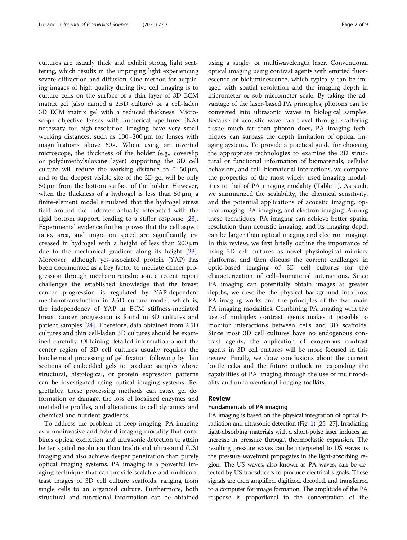cultures are usually thick and exhibit strong light scattering, which results in the impinging light experiencing severe diffraction and diffusion. One method for acquiring images of high quality during live cell imaging is to culture cells on the surface of a thin layer of 3D ECM matrix gel (also named a 2.5D culture) or a cell-laden 3D ECM matrix gel with a reduced thickness. Microscope objective lenses with numerical apertures (NA) necessary for high-resolution imaging have very small working distances, such as 100–200 μm for lenses with magnifications above 60×. When using an inverted microscope, the thickness of the holder (e.g., coverslip or polydimethylsiloxane layer) supporting the 3D cell culture will reduce the working distance to  $0-50 \mu m$ , and so the deepest visible site of the 3D gel will be only 50 μm from the bottom surface of the holder. However, when the thickness of a hydrogel is less than  $50 \mu m$ , a finite-element model simulated that the hydrogel stress field around the indenter actually interacted with the rigid bottom support, leading to a stiffer response [\[23](#page-6-0)]. Experimental evidence further proves that the cell aspect ratio, area, and migration speed are significantly increased in hydrogel with a height of less than 200 μm due to the mechanical gradient along its height [\[23](#page-6-0)]. Moreover, although yes-associated protein (YAP) has been documented as a key factor to mediate cancer progression through mechanotransduction, a recent report challenges the established knowledge that the breast cancer progression is regulated by YAP-dependent mechanotransduction in 2.5D culture model, which is, the independency of YAP in ECM stiffness-mediated breast cancer progression is found in 3D cultures and patient samples [\[24](#page-6-0)]. Therefore, data obtained from 2.5D cultures and thin cell-laden 3D cultures should be examined carefully. Obtaining detailed information about the center region of 3D cell cultures usually requires the biochemical processing of gel fixation following by thin sections of embedded gels to produce samples whose structural, histological, or protein expression patterns can be investigated using optical imaging systems. Regrettably, these processing methods can cause gel deformation or damage, the loss of localized enzymes and metabolite profiles, and alterations to cell dynamics and chemical and nutrient gradients.

To address the problem of deep imaging, PA imaging as a noninvasive and hybrid imaging modality that combines optical excitation and ultrasonic detection to attain better spatial resolution than traditional ultrasound (US) imaging and also achieve deeper penetration than purely optical imaging systems. PA imaging is a powerful imaging technique that can provide scalable and multicontrast images of 3D cell culture scaffolds, ranging from single cells to an organoid culture. Furthermore, both structural and functional information can be obtained

using a single- or multiwavelength laser. Conventional optical imaging using contrast agents with emitted fluorescence or bioluminescence, which typically can be imaged with spatial resolution and the imaging depth in micrometer or sub-micrometer scale. By taking the advantage of the laser-based PA principles, photons can be converted into ultrasonic waves in biological samples. Because of acoustic wave can travel through scattering tissue much far than photon does, PA imaging techniques can surpass the depth limitation of optical imaging systems. To provide a practical guide for choosing the appropriate technologies to examine the 3D structural or functional information of biomaterials, cellular behaviors, and cell–biomaterial interactions, we compare the properties of the most widely used imaging modalities to that of PA imaging modality (Table [1](#page-2-0)). As such, we summarized the scalability, the chemical sensitivity, and the potential applications of acoustic imaging, optical imaging, PA imaging, and electron imaging. Among these techniques, PA imaging can achieve better spatial resolution than acoustic imaging, and its imaging depth can be larger than optical imaging and electron imaging. In this review, we first briefly outline the importance of using 3D cell cultures as novel physiological mimicry platforms, and then discuss the current challenges in optic-based imaging of 3D cell cultures for the characterization of cell–biomaterial interactions. Since PA imaging can potentially obtain images at greater depths, we describe the physical background into how PA imaging works and the principles of the two main PA imaging modalities. Combining PA imaging with the use of multiplex contrast agents makes it possible to monitor interactions between cells and 3D scaffolds. Since most 3D cell cultures have no endogenous contrast agents, the application of exogenous contrast agents in 3D cell cultures will be more focused in this review. Finally, we draw conclusions about the current bottlenecks and the future outlook on expanding the capabilities of PA imaging through the use of multimodality and unconventional imaging toolkits.

#### Review

#### Fundamentals of PA imaging

PA imaging is based on the physical integration of optical irradiation and ultrasonic detection (Fig. [1\)](#page-2-0) [\[25](#page-6-0)–[27](#page-6-0)]. Irradiating light-absorbing materials with a short-pulse laser induces an increase in pressure through thermoelastic expansion. The resulting pressure waves can be interpreted to US waves as the pressure wavefront propagates in the light-absorbing region. The US waves, also known as PA waves, can be detected by US transducers to produce electrical signals. These signals are then amplified, digitized, decoded, and transferred to a computer for image formation. The amplitude of the PA response is proportional to the concentration of the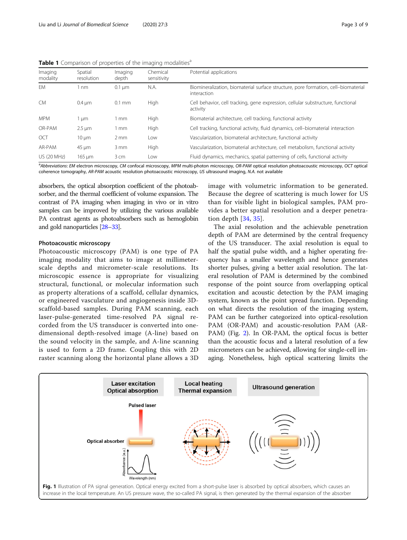<span id="page-2-0"></span>Table 1 Comparison of properties of the imaging modalities<sup>a</sup>

| Imaging<br>modality | Spatial<br>resolution | Imaging<br>depth | Chemical<br>sensitivity | Potential applications                                                                            |
|---------------------|-----------------------|------------------|-------------------------|---------------------------------------------------------------------------------------------------|
| EM                  | 1 nm                  | $0.1 \mu m$      | N.A.                    | Biomineralization, biomaterial surface structure, pore formation, cell-biomaterial<br>interaction |
| <b>CM</b>           | $0.4 \mu m$           | $0.1$ mm         | High                    | Cell behavior, cell tracking, gene expression, cellular substructure, functional<br>activity      |
| <b>MPM</b>          | 1 µm                  | l mm             | High                    | Biomaterial architecture, cell tracking, functional activity                                      |
| OR-PAM              | $2.5 \mu m$           | 1 mm             | High                    | Cell tracking, functional activity, fluid dynamics, cell-biomaterial interaction                  |
| OCT                 | $10 \mu m$            | $2 \, \text{mm}$ | Low                     | Vascularization, biomaterial architecture, functional activity                                    |
| AR-PAM              | $45 \mu m$            | $3 \, \text{mm}$ | High                    | Vascularization, biomaterial architecture, cell metabolism, functional activity                   |
| <b>US (20 MHz)</b>  | $165 \mu m$           | 3 cm             | Low                     | Fluid dynamics, mechanics, spatial patterning of cells, functional activity                       |
|                     |                       |                  |                         |                                                                                                   |

<sup>a</sup>Abbreviations: EM electron microscopy, CM confocal microscopy, MPM multi-photon microscopy, OR-PAM optical resolution photoacoustic microscopy, OCT optical coherence tomography, AR-PAM acoustic resolution photoacoustic microscopy, US ultrasound imaging, N.A. not available

absorbers, the optical absorption coefficient of the photoabsorber, and the thermal coefficient of volume expansion. The contrast of PA imaging when imaging in vivo or in vitro samples can be improved by utilizing the various available PA contrast agents as photoabsorbers such as hemoglobin and gold nanoparticles [[28](#page-6-0)–[33\]](#page-6-0).

#### Photoacoustic microscopy

Photoacoustic microscopy (PAM) is one type of PA imaging modality that aims to image at millimeterscale depths and micrometer-scale resolutions. Its microscopic essence is appropriate for visualizing structural, functional, or molecular information such as property alterations of a scaffold, cellular dynamics, or engineered vasculature and angiogenesis inside 3Dscaffold-based samples. During PAM scanning, each laser-pulse-generated time-resolved PA signal recorded from the US transducer is converted into onedimensional depth-resolved image (A-line) based on the sound velocity in the sample, and A-line scanning is used to form a 2D frame. Coupling this with 2D raster scanning along the horizontal plane allows a 3D image with volumetric information to be generated. Because the degree of scattering is much lower for US than for visible light in biological samples, PAM provides a better spatial resolution and a deeper penetration depth [\[34](#page-6-0), [35\]](#page-7-0).

The axial resolution and the achievable penetration depth of PAM are determined by the central frequency of the US transducer. The axial resolution is equal to half the spatial pulse width, and a higher operating frequency has a smaller wavelength and hence generates shorter pulses, giving a better axial resolution. The lateral resolution of PAM is determined by the combined response of the point source from overlapping optical excitation and acoustic detection by the PAM imaging system, known as the point spread function. Depending on what directs the resolution of the imaging system, PAM can be further categorized into optical-resolution PAM (OR-PAM) and acoustic-resolution PAM (AR-PAM) (Fig. [2\)](#page-3-0). In OR-PAM, the optical focus is better than the acoustic focus and a lateral resolution of a few micrometers can be achieved, allowing for single-cell imaging. Nonetheless, high optical scattering limits the

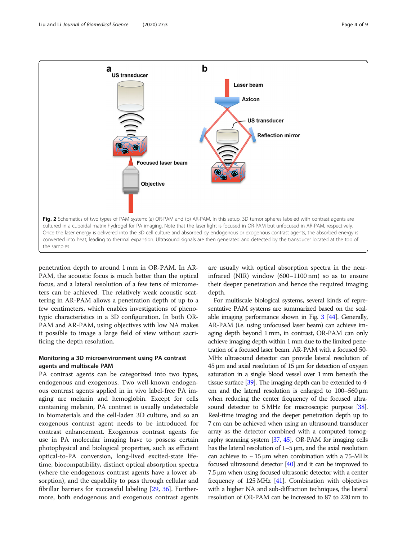<span id="page-3-0"></span>

penetration depth to around 1 mm in OR-PAM. In AR-PAM, the acoustic focus is much better than the optical focus, and a lateral resolution of a few tens of micrometers can be achieved. The relatively weak acoustic scattering in AR-PAM allows a penetration depth of up to a few centimeters, which enables investigations of phenotypic characteristics in a 3D configuration. In both OR-PAM and AR-PAM, using objectives with low NA makes it possible to image a large field of view without sacrificing the depth resolution.

# Monitoring a 3D microenvironment using PA contrast agents and multiscale PAM

PA contrast agents can be categorized into two types, endogenous and exogenous. Two well-known endogenous contrast agents applied in in vivo label-free PA imaging are melanin and hemoglobin. Except for cells containing melanin, PA contrast is usually undetectable in biomaterials and the cell-laden 3D culture, and so an exogenous contrast agent needs to be introduced for contrast enhancement. Exogenous contrast agents for use in PA molecular imaging have to possess certain photophysical and biological properties, such as efficient optical-to-PA conversion, long-lived excited-state lifetime, biocompatibility, distinct optical absorption spectra (where the endogenous contrast agents have a lower absorption), and the capability to pass through cellular and fibrillar barriers for successful labeling [\[29](#page-6-0), [36\]](#page-7-0). Furthermore, both endogenous and exogenous contrast agents

are usually with optical absorption spectra in the nearinfrared (NIR) window (600–1100 nm) so as to ensure their deeper penetration and hence the required imaging depth.

For multiscale biological systems, several kinds of representative PAM systems are summarized based on the scalable imaging performance shown in Fig. [3](#page-4-0) [\[44\]](#page-7-0). Generally, AR-PAM (i.e. using unfocused laser beam) can achieve imaging depth beyond 1 mm, in contrast, OR-PAM can only achieve imaging depth within 1 mm due to the limited penetration of a focused laser beam. AR-PAM with a focused 50- MHz ultrasound detector can provide lateral resolution of 45 μm and axial resolution of 15 μm for detection of oxygen saturation in a single blood vessel over 1 mm beneath the tissue surface [\[39](#page-7-0)]. The imaging depth can be extended to 4 cm and the lateral resolution is enlarged to 100–560 μm when reducing the center frequency of the focused ultra-sound detector to 5 MHz for macroscopic purpose [\[38\]](#page-7-0). Real-time imaging and the deeper penetration depth up to 7 cm can be achieved when using an ultrasound transducer array as the detector combined with a computed tomography scanning system [\[37](#page-7-0), [45](#page-7-0)]. OR-PAM for imaging cells has the lateral resolution of 1–5 μm, and the axial resolution can achieve to  $\sim$  15 µm when combination with a 75-MHz focused ultrasound detector [\[40](#page-7-0)] and it can be improved to 7.5 μm when using focused ultrasonic detector with a center frequency of 125 MHz [\[41](#page-7-0)]. Combination with objectives with a higher NA and sub-diffraction techniques, the lateral resolution of OR-PAM can be increased to 87 to 220 nm to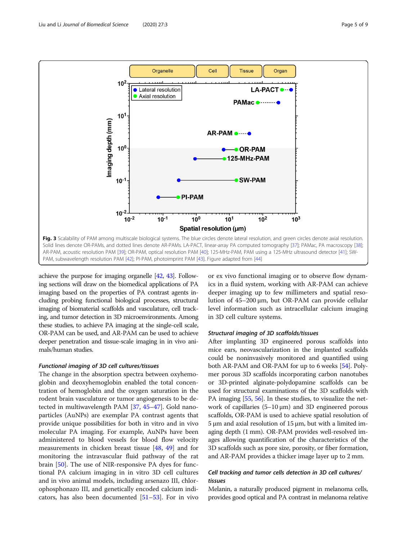<span id="page-4-0"></span>

achieve the purpose for imaging organelle [\[42](#page-7-0), [43\]](#page-7-0). Following sections will draw on the biomedical applications of PA imaging based on the properties of PA contrast agents including probing functional biological processes, structural imaging of biomaterial scaffolds and vasculature, cell tracking, and tumor detection in 3D microenvironments. Among these studies, to achieve PA imaging at the single-cell scale, OR-PAM can be used, and AR-PAM can be used to achieve deeper penetration and tissue-scale imaging in in vivo animals/human studies.

## Functional imaging of 3D cell cultures/tissues

The change in the absorption spectra between oxyhemoglobin and deoxyhemoglobin enabled the total concentration of hemoglobin and the oxygen saturation in the rodent brain vasculature or tumor angiogenesis to be detected in multiwavelength PAM [\[37](#page-7-0), [45](#page-7-0)–[47\]](#page-7-0). Gold nanoparticles (AuNPs) are exemplar PA contrast agents that provide unique possibilities for both in vitro and in vivo molecular PA imaging. For example, AuNPs have been administered to blood vessels for blood flow velocity measurements in chicken breast tissue [[48](#page-7-0), [49](#page-7-0)] and for monitoring the intravascular fluid pathway of the rat brain [\[50](#page-7-0)]. The use of NIR-responsive PA dyes for functional PA calcium imaging in in vitro 3D cell cultures and in vivo animal models, including arsenazo III, chlorophosphonazo III, and genetically encoded calcium indicators, has also been documented [[51](#page-7-0)–[53\]](#page-7-0). For in vivo

or ex vivo functional imaging or to observe flow dynamics in a fluid system, working with AR-PAM can achieve deeper imaging up to few millimeters and spatial resolution of 45–200 μm, but OR-PAM can provide cellular level information such as intracellular calcium imaging in 3D cell culture systems.

# Structural imaging of 3D scaffolds/tissues

After implanting 3D engineered porous scaffolds into mice ears, neovascularization in the implanted scaffolds could be noninvasively monitored and quantified using both AR-PAM and OR-PAM for up to 6 weeks [\[54\]](#page-7-0). Polymer porous 3D scaffolds incorporating carbon nanotubes or 3D-printed alginate-polydopamine scaffolds can be used for structural examinations of the 3D scaffolds with PA imaging [\[55,](#page-7-0) [56\]](#page-7-0). In these studies, to visualize the network of capillaries (5–10 μm) and 3D engineered porous scaffolds, OR-PAM is used to achieve spatial resolution of 5 μm and axial resolution of 15 μm, but with a limited imaging depth (1 mm). OR-PAM provides well-resolved images allowing quantification of the characteristics of the 3D scaffolds such as pore size, porosity, or fiber formation, and AR-PAM provides a thicker image layer up to 2 mm.

# Cell tracking and tumor cells detection in 3D cell cultures/ tissues

Melanin, a naturally produced pigment in melanoma cells, provides good optical and PA contrast in melanoma relative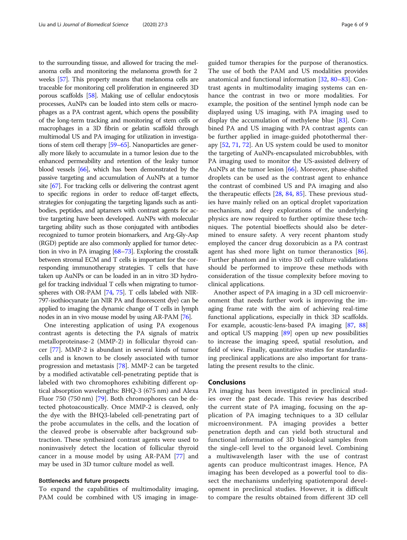to the surrounding tissue, and allowed for tracing the melanoma cells and monitoring the melanoma growth for 2 weeks [\[57](#page-7-0)]. This property means that melanoma cells are traceable for monitoring cell proliferation in engineered 3D porous scaffolds [\[58\]](#page-7-0). Making use of cellular endocytosis processes, AuNPs can be loaded into stem cells or macrophages as a PA contrast agent, which opens the possibility of the long-term tracking and monitoring of stem cells or macrophages in a 3D fibrin or gelatin scaffold through multimodal US and PA imaging for utilization in investigations of stem cell therapy [\[59](#page-7-0)–[65](#page-7-0)]. Nanoparticles are generally more likely to accumulate in a tumor lesion due to the enhanced permeability and retention of the leaky tumor blood vessels [\[66\]](#page-7-0), which has been demonstrated by the passive targeting and accumulation of AuNPs at a tumor site [\[67\]](#page-7-0). For tracking cells or delivering the contrast agent to specific regions in order to reduce off-target effects, strategies for conjugating the targeting ligands such as antibodies, peptides, and aptamers with contrast agents for active targeting have been developed. AuNPs with molecular targeting ability such as those conjugated with antibodies recognized to tumor protein biomarkers, and Arg-Gly-Asp (RGD) peptide are also commonly applied for tumor detection in vivo in PA imaging [[68](#page-7-0)–[73](#page-7-0)]. Exploring the crosstalk between stromal ECM and T cells is important for the corresponding immunotherapy strategies. T cells that have taken up AuNPs or can be loaded in an in vitro 3D hydrogel for tracking individual T cells when migrating to tumorspheres with OR-PAM [\[74](#page-7-0), [75\]](#page-7-0). T cells labeled with NIR-797-isothiocyanate (an NIR PA and fluorescent dye) can be applied to imaging the dynamic change of T cells in lymph nodes in an in vivo mouse model by using AR-PAM [\[76](#page-7-0)].

One interesting application of using PA exogenous contrast agents is detecting the PA signals of matrix metalloproteinase-2 (MMP-2) in follicular thyroid cancer [\[77](#page-7-0)]. MMP-2 is abundant in several kinds of tumor cells and is known to be closely associated with tumor progression and metastasis [[78](#page-7-0)]. MMP-2 can be targeted by a modified activatable cell-penetrating peptide that is labeled with two chromophores exhibiting different optical absorption wavelengths: BHQ-3 (675 nm) and Alexa Fluor 750 (750 nm) [\[79\]](#page-7-0). Both chromophores can be detected photoacoustically. Once MMP-2 is cleaved, only the dye with the BHQ3-labeled cell-penetrating part of the probe accumulates in the cells, and the location of the cleaved probe is observable after background subtraction. These synthesized contrast agents were used to noninvasively detect the location of follicular thyroid cancer in a mouse model by using AR-PAM [[77\]](#page-7-0) and may be used in 3D tumor culture model as well.

#### Bottlenecks and future prospects

To expand the capabilities of multimodality imaging, PAM could be combined with US imaging in imageguided tumor therapies for the purpose of theranostics. The use of both the PAM and US modalities provides anatomical and functional information [\[32,](#page-6-0) [80](#page-7-0)–[83\]](#page-7-0). Contrast agents in multimodality imaging systems can enhance the contrast in two or more modalities. For example, the position of the sentinel lymph node can be displayed using US imaging, with PA imaging used to display the accumulation of methylene blue [[83\]](#page-7-0). Combined PA and US imaging with PA contrast agents can be further applied in image-guided photothermal therapy [[52,](#page-7-0) [71,](#page-7-0) [72\]](#page-7-0). An US system could be used to monitor the targeting of AuNPs-encapsulated microbubbles, with PA imaging used to monitor the US-assisted delivery of AuNPs at the tumor lesion [\[66](#page-7-0)]. Moreover, phase-shifted droplets can be used as the contrast agent to enhance the contrast of combined US and PA imaging and also the therapeutic effects [[28,](#page-6-0) [84,](#page-7-0) [85](#page-8-0)]. These previous studies have mainly relied on an optical droplet vaporization mechanism, and deep explorations of the underlying physics are now required to further optimize these techniques. The potential bioeffects should also be determined to ensure safety. A very recent phantom study employed the cancer drug doxorubicin as a PA contrast agent has shed more light on tumor theranostics [\[86](#page-8-0)]. Further phantom and in vitro 3D cell culture validations should be performed to improve these methods with consideration of the tissue complexity before moving to clinical applications.

Another aspect of PA imaging in a 3D cell microenvironment that needs further work is improving the imaging frame rate with the aim of achieving real-time functional applications, especially in thick 3D scaffolds. For example, acoustic-lens-based PA imaging [\[87](#page-8-0), [88](#page-8-0)] and optical US mapping [[89](#page-8-0)] open up new possibilities to increase the imaging speed, spatial resolution, and field of view. Finally, quantitative studies for standardizing preclinical applications are also important for translating the present results to the clinic.

#### Conclusions

PA imaging has been investigated in preclinical studies over the past decade. This review has described the current state of PA imaging, focusing on the application of PA imaging techniques to a 3D cellular microenvironment. PA imaging provides a better penetration depth and can yield both structural and functional information of 3D biological samples from the single-cell level to the organoid level. Combining a multiwavelength laser with the use of contrast agents can produce multicontrast images. Hence, PA imaging has been developed as a powerful tool to dissect the mechanisms underlying spatiotemporal development in preclinical studies. However, it is difficult to compare the results obtained from different 3D cell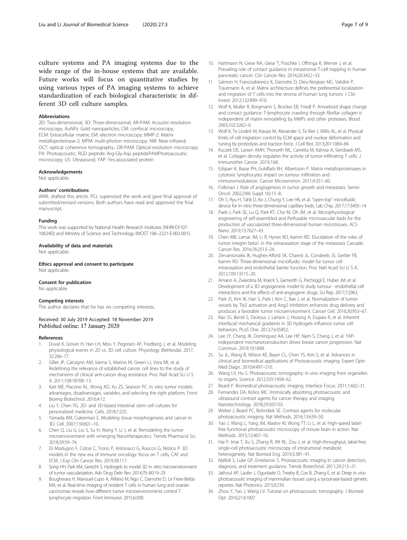<span id="page-6-0"></span>culture systems and PA imaging systems due to the wide range of the in-house systems that are available. Future works will focus on quantitative studies by using various types of PA imaging systems to achieve standardization of each biological characteristic in different 3D cell culture samples.

#### Abbreviations

2D: Two-dimensional; 3D: Three-dimensional; AR-PAM: Acoustic-resolution microscopy; AuNPs: Gold nanoparticles; CM: confocal microscopy; ECM: Extracellular matrix; EM: electron microscopy; MMP-2: Matrix metalloproteinase-2; MPM: multi-photon microscopy; NIR: Near-infrared; OCT: optical coherence tomography.; OR-PAM: Optical-resolution microscopy; PA: Photoacoustic; RGD peptide: Arg-Gly-Asp peptidePAMPhotoacoustic microscopy; US: Ultrasound; YAP: Yes-associated protein

#### Acknowledgements

Not applicable.

#### Authors' contributions

WWL drafted this article. PCL supervised the work and gave final approval of submitted/revised versions. Both authors have read and approved the final manuscript.

#### Funding

This work was supported by National Health Research Institutes (NHRI-EX107- 10624EI) and Ministry of Science and Technology (MOST 106–2221-E-002-001).

#### Availability of data and materials

Not applicable.

Ethics approval and consent to participate Not applicable.

#### Consent for publication

No applicable.

### Competing interests

The author declares that he has no competing interests.

#### Received: 30 July 2019 Accepted: 18 November 2019 Published online: 17 January 2020

#### References

- Duval K, Grover H, Han LH, Mou Y, Pegoraro AF, Fredberg J, et al. Modeling physiological events in 2D vs. 3D cell culture. Physiology (Bethesda). 2017; 32:266–77.
- 2. Gillet JP, Calcagno AM, Varma S, Marino M, Green LJ, Vora MI, et al. Redefining the relevance of established cancer cell lines to the study of mechanisms of clinical anti-cancer drug resistance. Proc Natl Acad Sci U S A. 2011;108:18708–13.
- Katt ME, Placone AL, Wong AD, Xu ZS, Searson PC. In vitro tumor models: advantages, disadvantages, variables, and selecting the right platform. Front Bioeng Biotechnol. 2016;4:12.
- 4. Liu Y, Chen YG. 2D- and 3D-based intestinal stem cell cultures for personalized medicine. Cells. 2018;7:225.
- 5. Yamada KM, Cukierman E. Modeling tissue morphogenesis and cancer in 3D. Cell. 2007;130:601–10.
- 6. Chen Q, Liu G, Liu S, Su H, Wang Y, Li J, et al. Remodeling the tumor microenvironment with emerging Nanotherapeutics. Trends Pharmacol Sci. 2018;39:59–74.
- 7. Di Modugno F, Colosi C, Trono P, Antonacci G, Ruocco G, Nistico P. 3D models in the new era of immune oncology: focus on T cells, CAF and ECM. J Exp Clin Cancer Res. 2019;38:117.
- 8. Song HH, Park KM, Gerecht S. Hydrogels to model 3D in vitro microenvironment of tumor vascularization. Adv Drug Deliv Rev. 2014;79–80:19–29.
- 9. Bougherara H, Mansuet-Lupo A, Alifano M, Ngo C, Damotte D, Le Frere-Belda MA, et al. Real-time imaging of resident T cells in human lung and ovarian carcinomas reveals how different tumor microenvironments control T lymphocyte migration. Front Immunol. 2015;6:500.
- 10. Hartmann N, Giese NA, Giese T, Poschke I, Offringa R, Werner J, et al. Prevailing role of contact guidance in intrastromal T-cell trapping in human pancreatic cancer. Clin Cancer Res. 2014;20:3422–33.
- 11. Salmon H, Franciszkiewicz K, Damotte D, Dieu-Nosjean MC, Validire P, Trautmann A, et al. Matrix architecture defines the preferential localization and migration of T cells into the stroma of human lung tumors. J Clin Invest. 2012;122:899–910.
- 12. Wolf K, Muller R, Borgmann S, Brocker EB, Friedl P. Amoeboid shape change and contact guidance: T-lymphocyte crawling through fibrillar collagen is independent of matrix remodeling by MMPs and other proteases. Blood. 2003;102:3262–9.
- 13. Wolf K, Te Lindert M, Krause M, Alexander S, Te Riet J, Willis AL, et al. Physical limits of cell migration: control by ECM space and nuclear deformation and tuning by proteolysis and traction force. J Cell Biol. 2013;201:1069–84.
- 14. Kuczek DE, Larsen AMH, Thorseth ML, Carretta M, Kalvisa A, Siersbaek MS, et al. Collagen density regulates the activity of tumor-infiltrating T cells. J Immunother Cancer. 2019;7:68.
- 15. Edsparr K, Basse PH, Goldfarb RH, Albertsson P. Matrix metalloproteinases in cytotoxic lymphocytes impact on tumour infiltration and immunomodulation. Cancer Microenviron. 2011;4:351–60.
- 16. Folkman J. Role of angiogenesis in tumor growth and metastasis. Semin Oncol. 2002;29(6 Suppl 16):15–8.
- 17. Oh S, Ryu H, Tahk D, Ko J, Chung Y, Lee HK, et al. "open-top" microfluidic device for in vitro three-dimensional capillary beds. Lab Chip. 2017;17:3405–14.
- 18. Paek J, Park SE, Lu Q, Park KT, Cho M, Oh JM, et al. Microphysiological engineering of self-assembled and Perfusable microvascular beds for the production of vascularized three-dimensional human microtissues. ACS Nano. 2019;13:7627–43.
- 19. Chen MB, Lamar JM, Li R, Hynes RO, Kamm RD. Elucidation of the roles of tumor integrin beta1 in the extravasation stage of the metastasis Cascade. Cancer Res. 2016;76:2513–24.
- 20. Zervantonakis IK, Hughes-Alford SK, Charest JL, Condeelis JS, Gertler FB, Kamm RD. Three-dimensional microfluidic model for tumor cell intravasation and endothelial barrier function. Proc Natl Acad Sci U S A. 2012;109:13515–20.
- 21. Amann A, Zwierzina M, Koeck S, Gamerith G, Pechriggl E, Huber JM, et al. Development of a 3D angiogenesis model to study tumour - endothelial cell interactions and the effects of anti-angiogenic drugs. Sci Rep. 2017;7:2963.
- 22. Park JS, Kim IK, Han S, Park I, Kim C, Bae J, et al. Normalization of tumor vessels by Tie2 activation and Ang2 inhibition enhances drug delivery and produces a favorable tumor microenvironment. Cancer Cell. 2016;30:953–67.
- 23. Rao SS, Bentil S, DeJesus J, Larison J, Hissong A, Dupaix R, et al. Inherent interfacial mechanical gradients in 3D hydrogels influence tumor cell behaviors. PLoS One. 2012;7:e35852.
- 24. Lee JY, Chang JK, Dominguez AA, Lee HP, Nam S, Chang J, et al. YAPindependent mechanotransduction drives breast cancer progression. Nat Commun. 2019;10:1848.
- 25. Su JL, Wang B, Wilson KE, Bayer CL, Chen YS, Kim S, et al. Advances in clinical and biomedical applications of Photoacoustic imaging. Expert Opin Med Diagn. 2010;4:497–510.
- 26. Wang LV, Hu S. Photoacoustic tomography: in vivo imaging from organelles to organs. Science. 2012;335:1458–62.
- 27. Beard P. Biomedical photoacoustic imaging. Interface Focus. 2011;1:602–31.
- 28. Fernandes DA, Kolios MC. Intrinsically absorbing photoacoustic and ultrasound contrast agents for cancer therapy and imaging. Nanotechnology. 2018;29:505103.
- 29. Weber J, Beard PC, Bohndiek SE. Contrast agents for molecular photoacoustic imaging. Nat Methods. 2016;13:639–50.
- 30. Yao J, Wang L, Yang JM, Maslov KI, Wong TT, Li L, et al. High-speed labelfree functional photoacoustic microscopy of mouse brain in action. Nat Methods. 2015;12:407–10.
- 31. Hai P, Imai T, Xu S, Zhang R, Aft RL, Zou J, et al. High-throughput, label-free, single-cell photoacoustic microscopy of intratumoral metabolic heterogeneity. Nat Biomed Eng. 2019;3:381–91.
- 32. Mallidi S, Luke GP, Emelianov S. Photoacoustic imaging in cancer detection, diagnosis, and treatment guidance. Trends Biotechnol. 2011;29:213–21.
- 33. Jathoul AP, Laufer J, Ogunlade O, Treeby B, Cox B, Zhang E, et al. Deep in vivo photoacoustic imaging of mammalian tissues using a tyrosinase-based genetic reporter. Nat Photonics. 2015;9:239.
- 34. Zhou Y, Yao J, Wang LV. Tutorial on photoacoustic tomography. J Biomed Opt. 2016;21:61007.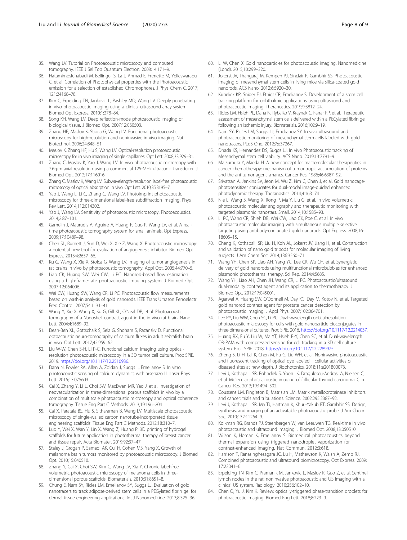- <span id="page-7-0"></span>35. Wang LV. Tutorial on Photoacoustic microscopy and computed tomography. IEEE J Sel Top Quantum Electron. 2008;14:171–9.
- 36. Hatamimoslehabadi M, Bellinger S, La J, Ahmad E, Frenette M, Yelleswarapu C, et al. Correlation of Photophysical properties with the Photoacoustic emission for a selection of established Chromophores. J Phys Chem C. 2017; 121:24168–78.
- 37. Kim C, Erpelding TN, Jankovic L, Pashley MD, Wang LV. Deeply penetrating in vivo photoacoustic imaging using a clinical ultrasound array system. Biomed Opt Express. 2010;1:278–84.
- 38. Song KH, Wang LV. Deep reflection-mode photoacoustic imaging of biological tissue. J Biomed Opt. 2007;12:060503.
- 39. Zhang HF, Maslov K, Stoica G, Wang LV. Functional photoacoustic microscopy for high-resolution and noninvasive in vivo imaging. Nat Biotechnol. 2006;24:848–51.
- 40. Maslov K, Zhang HF, Hu S, Wang LV. Optical-resolution photoacoustic microscopy for in vivo imaging of single capillaries. Opt Lett. 2008;33:929–31.
- 41. Zhang C, Maslov K, Yao J, Wang LV. In vivo photoacoustic microscopy with 7.6-μm axial resolution using a commercial 125-MHz ultrasonic transducer. J Biomed Opt. 2012;17:116016.
- 42. Zhang C, Maslov K, Wang LV. Subwavelength-resolution label-free photoacoustic microscopy of optical absorption in vivo. Opt Lett. 2010;35:3195–7.
- 43. Yao J, Wang L, Li C, Zhang C, Wang LV. Photoimprint photoacoustic microscopy for three-dimensional label-free subdiffraction imaging. Phys Rev Lett. 2014;112:014302.
- Yao J, Wang LV. Sensitivity of photoacoustic microscopy. Photoacoustics. 2014;2:87–101.
- 45. Gamelin J, Maurudis A, Aguirre A, Huang F, Guo P, Wang LV, et al. A realtime photoacoustic tomography system for small animals. Opt Express. 2009;17:10489–98.
- 46. Chen SL, Burnett J, Sun D, Wei X, Xie Z, Wang X. Photoacoustic microscopy: a potential new tool for evaluation of angiogenesis inhibitor. Biomed Opt Express. 2013;4:2657–66.
- 47. Ku G, Wang X, Xie X, Stoica G, Wang LV. Imaging of tumor angiogenesis in rat brains in vivo by photoacoustic tomography. Appl Opt. 2005;44:770–5.
- 48. Liao CK, Huang SW, Wei CW, Li PC. Nanorod-based flow estimation using a high-frame-rate photoacoustic imaging system. J Biomed Opt. 2007;12:064006.
- 49. Wei CW, Huang SW, Wang CR, Li PC. Photoacoustic flow measurements based on wash-in analysis of gold nanorods. IEEE Trans Ultrason Ferroelectr Freq Control. 2007;54:1131–41.
- 50. Wang Y, Xie X, Wang X, Ku G, Gill KL, O'Neal DP, et al. Photoacoustic tomography of a Nanoshell contrast agent in the in vivo rat brain. Nano Lett. 2004;4:1689–92.
- 51. Dean-Ben XL, Gottschalk S, Sela G, Shoham S, Razansky D. Functional optoacoustic neuro-tomography of calcium fluxes in adult zebrafish brain in vivo. Opt Lett. 2017;42:959–62.
- 52. Liu W-W, Chen S-H, Li P-C. Functional calcium imaging using opticalresolution photoacoustic microscopy in a 3D tumor cell culture. Proc SPIE. 2019. [https://doi.org/10.1117/12.2510936.](https://doi.org/10.1117/12.2510936)
- 53. Dana N, Fowler RA, Allen A, Zoldan J, Suggs L, Emelianov S. In vitro photoacoustic sensing of calcium dynamics with arsenazo III. Laser Phys Lett. 2016;13:075603.
- 54. Cai X, Zhang Y, Li L, Choi SW, MacEwan MR, Yao J, et al. Investigation of neovascularization in three-dimensional porous scaffolds in vivo by a combination of multiscale photoacoustic microscopy and optical coherence tomography. Tissue Eng Part C Methods. 2013;19:196–204.
- 55. Cai X, Paratala BS, Hu S, Sitharaman B, Wang LV. Multiscale photoacoustic microscopy of single-walled carbon nanotube-incorporated tissue engineering scaffolds. Tissue Eng Part C Methods. 2012;18:310–7.
- 56. Luo Y, Wei X, Wan Y, Lin X, Wang Z, Huang P. 3D printing of hydrogel scaffolds for future application in photothermal therapy of breast cancer and tissue repair. Acta Biomater. 2019;92:37–47.
- 57. Staley J, Grogan P, Samadi AK, Cui H, Cohen MS, Yang X. Growth of melanoma brain tumors monitored by photoacoustic microscopy. J Biomed Opt. 2010;15:040510.
- 58. Zhang Y, Cai X, Choi SW, Kim C, Wang LV, Xia Y. Chronic label-free volumetric photoacoustic microscopy of melanoma cells in threedimensional porous scaffolds. Biomaterials. 2010;31:8651–8.
- 59. Chung E, Nam SY, Ricles LM, Emelianov SY, Suggs LJ. Evaluation of gold nanotracers to track adipose-derived stem cells in a PEGylated fibrin gel for dermal tissue engineering applications. Int J Nanomedicine. 2013;8:325–36.
- 60. Li W, Chen X. Gold nanoparticles for photoacoustic imaging. Nanomedicine (Lond). 2015;10:299–320.
- 61. Jokerst JV, Thangaraj M, Kempen PJ, Sinclair R, Gambhir SS. Photoacoustic imaging of mesenchymal stem cells in living mice via silica-coated gold nanorods. ACS Nano. 2012;6:5920–30.
- 62. Kubelick KP, Snider EJ, Ethier CR, Emelianov S. Development of a stem cell tracking platform for ophthalmic applications using ultrasound and photoacoustic imaging. Theranostics. 2019;9:3812–24.
- 63. Ricles LM, Hsieh PL, Dana N, Rybalko V, Kraynak C, Farrar RP, et al. Therapeutic assessment of mesenchymal stem cells delivered within a PEGylated fibrin gel following an ischemic injury. Biomaterials. 2016;102:9–19.
- 64. Nam SY, Ricles LM, Suggs LJ, Emelianov SY. In vivo ultrasound and photoacoustic monitoring of mesenchymal stem cells labeled with gold nanotracers. PLoS One. 2012;7:e37267.
- 65. Dhada KS, Hernandez DS, Suggs LJ. In vivo Photoacoustic tracking of Mesenchymal stem cell viability. ACS Nano. 2019;13:7791–9.
- 66. Matsumura Y, Maeda H. A new concept for macromolecular therapeutics in cancer chemotherapy: mechanism of tumoritropic accumulation of proteins and the antitumor agent smancs. Cancer Res. 1986;46:6387–92.
- 67. Srivatsan A, Jenkins SV, Jeon M, Wu Z, Kim C, Chen J, et al. Gold nanocagephotosensitizer conjugates for dual-modal image-guided enhanced photodynamic therapy. Theranostics. 2014;4:163–74.
- 68. Nie L, Wang S, Wang X, Rong P, Ma Y, Liu G, et al. In vivo volumetric photoacoustic molecular angiography and therapeutic monitoring with targeted plasmonic nanostars. Small. 2014;10:1585–93.
- 69. Li PC, Wang CR, Shieh DB, Wei CW, Liao CK, Poe C, et al. In vivo photoacoustic molecular imaging with simultaneous multiple selective targeting using antibody-conjugated gold nanorods. Opt Express. 2008;16: 18605–15.
- 70. Cheng K, Kothapalli SR, Liu H, Koh AL, Jokerst JV, Jiang H, et al. Construction and validation of nano gold tripods for molecular imaging of living subjects. J Am Chem Soc. 2014;136:3560–71.
- 71. Wang YH, Chen SP, Liao AH, Yang YC, Lee CR, Wu CH, et al. Synergistic delivery of gold nanorods using multifunctional microbubbles for enhanced plasmonic photothermal therapy. Sci Rep. 2014;4:5685.
- 72. Wang YH, Liao AH, Chen JH, Wang CR, Li PC. Photoacoustic/ultrasound dual-modality contrast agent and its application to thermotherapy. J Biomed Opt. 2012;17:045001.
- 73. Agarwal A, Huang SW, O'Donnell M, Day KC, Day M, Kotov N, et al. Targeted gold nanorod contrast agent for prostate cancer detection by photoacoustic imaging. J Appl Phys. 2007;102:064701.
- 74. Lee PY, Liu WW, Chen SC, Li PC. Dual-wavelength optical-resolution photoacoustic microscopy for cells with gold nanoparticle bioconjugates in three-dimensional cultures. Proc SPIE. 2016. [https://doi.org/10.1117/12.2214037.](https://doi.org/10.1117/12.2214037)
- 75. Huang RX, Fu Y, Liu W, Ma YT, Hsieh B-Y, Chen SC, et al. Dual-wavelength OR-PAM with compressed sensing for cell tracking in a 3D cell culture system. Proc SPIE. 2018. <https://doi.org/10.1117/12.2289975>.
- 76. Zheng S, Li H, Lai K, Chen M, Fu G, Liu WH, et al. Noninvasive photoacoustic and fluorescent tracking of optical dye labeled T cellular activities of diseased sites at new depth. J Biophotonics. 2018;11:e201800073.
- 77. Levi J, Kothapalli SR, Bohndiek S, Yoon JK, Dragulescu-Andrasi A, Nielsen C, et al. Molecular photoacoustic imaging of follicular thyroid carcinoma. Clin Cancer Res. 2013;19:1494–502.
- 78. Coussens LM, Fingleton B, Matrisian LM. Matrix metalloproteinase inhibitors and cancer: trials and tribulations. Science. 2002;295:2387–92.
- 79. Levi J, Kothapalli SR, Ma TJ, Hartman K, Khuri-Yakub BT, Gambhir SS. Design, synthesis, and imaging of an activatable photoacoustic probe. J Am Chem Soc. 2010;132:11264–9.
- 80. Kolkman RG, Brands PJ, Steenbergen W, van Leeuwen TG. Real-time in vivo photoacoustic and ultrasound imaging. J Biomed Opt. 2008;13:050510.
- 81. Wilson K, Homan K, Emelianov S. Biomedical photoacoustics beyond thermal expansion using triggered nanodroplet vaporization for contrast-enhanced imaging. Nat Commun. 2012;3:618.
- 82. Harrison T, Ranasinghesagara JC, Lu H, Mathewson K, Walsh A, Zemp RJ. Combined photoacoustic and ultrasound biomicroscopy. Opt Express. 2009; 17:22041–6.
- 83. Erpelding TN, Kim C, Pramanik M, Jankovic L, Maslov K, Guo Z, et al. Sentinel lymph nodes in the rat: noninvasive photoacoustic and US imaging with a clinical US system. Radiology. 2010;256:102–10.
- 84. Chen Q, Yu J, Kim K. Review: optically-triggered phase-transition droplets for photoacoustic imaging. Biomed Eng Lett. 2018;8:223–9.